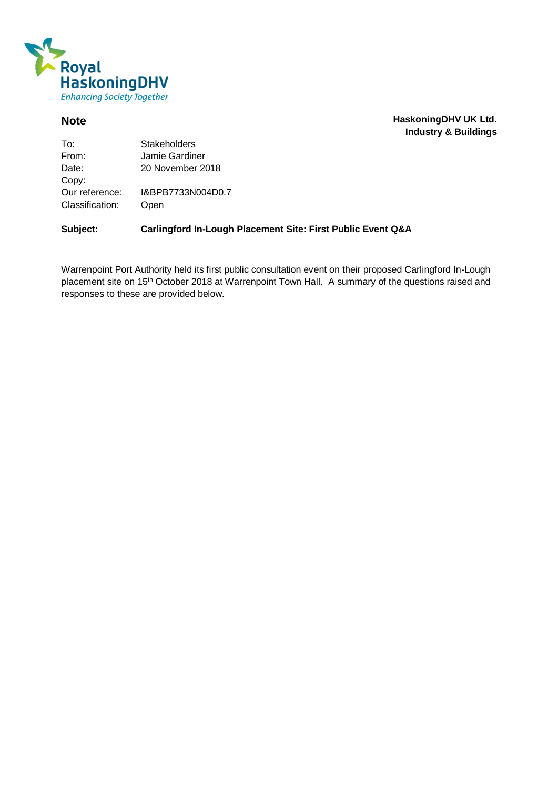

**Note HaskoningDHV UK Ltd. Industry & Buildings**

| To∶             | <b>Stakeholders</b> |
|-----------------|---------------------|
| From:           | Jamie Gardiner      |
| Date:           | 20 November 2018    |
| Copy:           |                     |
| Our reference:  | I&BPB7733N004D0.7   |
| Classification: | Open                |
|                 |                     |

**Subject: Carlingford In-Lough Placement Site: First Public Event Q&A**

Warrenpoint Port Authority held its first public consultation event on their proposed Carlingford In-Lough placement site on 15<sup>th</sup> October 2018 at Warrenpoint Town Hall. A summary of the questions raised and responses to these are provided below.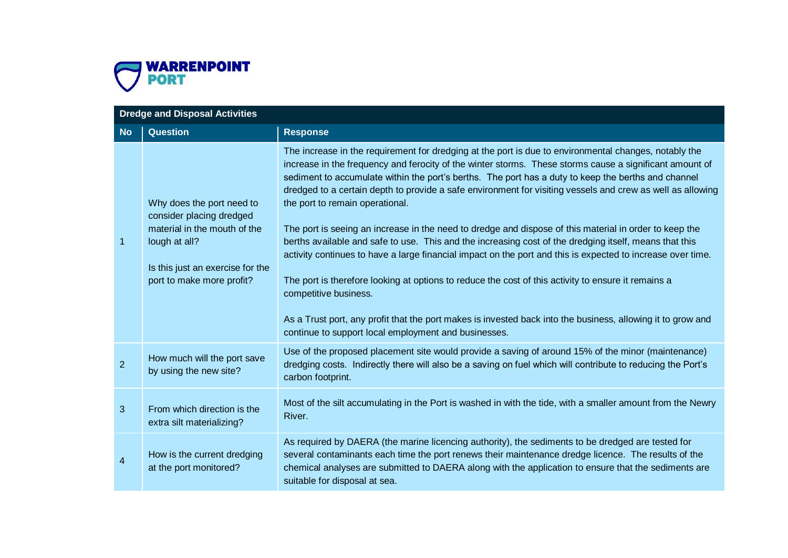

|                | <b>Dredge and Disposal Activities</b>                                                                                                                                   |                                                                                                                                                                                                                                                                                                                                                                                                                                                                                                                                                                                                                                                                                                                                                                                                                                                                                                                                                                                                                                                                                                                    |  |
|----------------|-------------------------------------------------------------------------------------------------------------------------------------------------------------------------|--------------------------------------------------------------------------------------------------------------------------------------------------------------------------------------------------------------------------------------------------------------------------------------------------------------------------------------------------------------------------------------------------------------------------------------------------------------------------------------------------------------------------------------------------------------------------------------------------------------------------------------------------------------------------------------------------------------------------------------------------------------------------------------------------------------------------------------------------------------------------------------------------------------------------------------------------------------------------------------------------------------------------------------------------------------------------------------------------------------------|--|
| <b>No</b>      | <b>Question</b>                                                                                                                                                         | <b>Response</b>                                                                                                                                                                                                                                                                                                                                                                                                                                                                                                                                                                                                                                                                                                                                                                                                                                                                                                                                                                                                                                                                                                    |  |
| 1              | Why does the port need to<br>consider placing dredged<br>material in the mouth of the<br>lough at all?<br>Is this just an exercise for the<br>port to make more profit? | The increase in the requirement for dredging at the port is due to environmental changes, notably the<br>increase in the frequency and ferocity of the winter storms. These storms cause a significant amount of<br>sediment to accumulate within the port's berths. The port has a duty to keep the berths and channel<br>dredged to a certain depth to provide a safe environment for visiting vessels and crew as well as allowing<br>the port to remain operational.<br>The port is seeing an increase in the need to dredge and dispose of this material in order to keep the<br>berths available and safe to use. This and the increasing cost of the dredging itself, means that this<br>activity continues to have a large financial impact on the port and this is expected to increase over time.<br>The port is therefore looking at options to reduce the cost of this activity to ensure it remains a<br>competitive business.<br>As a Trust port, any profit that the port makes is invested back into the business, allowing it to grow and<br>continue to support local employment and businesses. |  |
| $\overline{2}$ | How much will the port save<br>by using the new site?                                                                                                                   | Use of the proposed placement site would provide a saving of around 15% of the minor (maintenance)<br>dredging costs. Indirectly there will also be a saving on fuel which will contribute to reducing the Port's<br>carbon footprint.                                                                                                                                                                                                                                                                                                                                                                                                                                                                                                                                                                                                                                                                                                                                                                                                                                                                             |  |
| 3              | From which direction is the<br>extra silt materializing?                                                                                                                | Most of the silt accumulating in the Port is washed in with the tide, with a smaller amount from the Newry<br>River.                                                                                                                                                                                                                                                                                                                                                                                                                                                                                                                                                                                                                                                                                                                                                                                                                                                                                                                                                                                               |  |
| 4              | How is the current dredging<br>at the port monitored?                                                                                                                   | As required by DAERA (the marine licencing authority), the sediments to be dredged are tested for<br>several contaminants each time the port renews their maintenance dredge licence. The results of the<br>chemical analyses are submitted to DAERA along with the application to ensure that the sediments are<br>suitable for disposal at sea.                                                                                                                                                                                                                                                                                                                                                                                                                                                                                                                                                                                                                                                                                                                                                                  |  |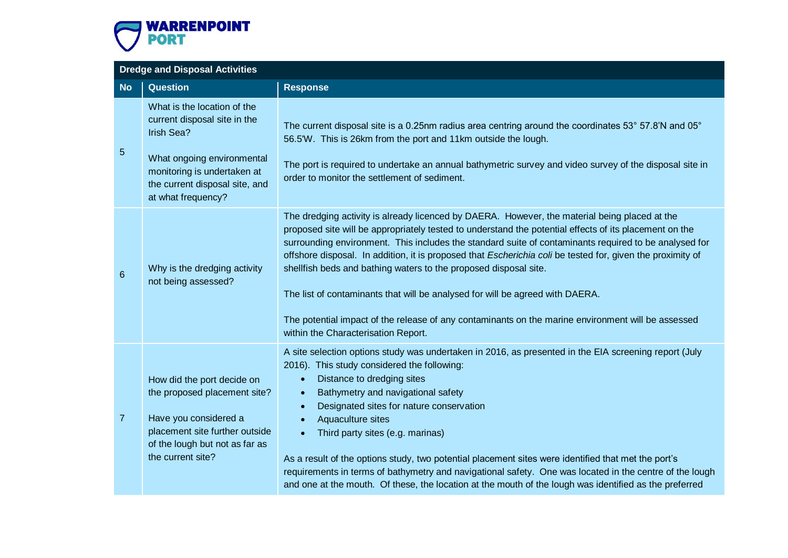

|                 | <b>Dredge and Disposal Activities</b>                                                                                                                                                          |                                                                                                                                                                                                                                                                                                                                                                                                                                                                                                                                                                                                                                                                                                                                  |  |
|-----------------|------------------------------------------------------------------------------------------------------------------------------------------------------------------------------------------------|----------------------------------------------------------------------------------------------------------------------------------------------------------------------------------------------------------------------------------------------------------------------------------------------------------------------------------------------------------------------------------------------------------------------------------------------------------------------------------------------------------------------------------------------------------------------------------------------------------------------------------------------------------------------------------------------------------------------------------|--|
| <b>No</b>       | <b>Question</b>                                                                                                                                                                                | <b>Response</b>                                                                                                                                                                                                                                                                                                                                                                                                                                                                                                                                                                                                                                                                                                                  |  |
| $\sqrt{5}$      | What is the location of the<br>current disposal site in the<br>Irish Sea?<br>What ongoing environmental<br>monitoring is undertaken at<br>the current disposal site, and<br>at what frequency? | The current disposal site is a 0.25nm radius area centring around the coordinates 53° 57.8'N and 05°<br>56.5'W. This is 26km from the port and 11km outside the lough.<br>The port is required to undertake an annual bathymetric survey and video survey of the disposal site in<br>order to monitor the settlement of sediment.                                                                                                                                                                                                                                                                                                                                                                                                |  |
| $6\phantom{1}6$ | Why is the dredging activity<br>not being assessed?                                                                                                                                            | The dredging activity is already licenced by DAERA. However, the material being placed at the<br>proposed site will be appropriately tested to understand the potential effects of its placement on the<br>surrounding environment. This includes the standard suite of contaminants required to be analysed for<br>offshore disposal. In addition, it is proposed that Escherichia coli be tested for, given the proximity of<br>shellfish beds and bathing waters to the proposed disposal site.<br>The list of contaminants that will be analysed for will be agreed with DAERA.<br>The potential impact of the release of any contaminants on the marine environment will be assessed<br>within the Characterisation Report. |  |
| 7 <sup>2</sup>  | How did the port decide on<br>the proposed placement site?<br>Have you considered a<br>placement site further outside<br>of the lough but not as far as<br>the current site?                   | A site selection options study was undertaken in 2016, as presented in the EIA screening report (July<br>2016). This study considered the following:<br>Distance to dredging sites<br>$\bullet$<br>Bathymetry and navigational safety<br>$\bullet$<br>Designated sites for nature conservation<br>Aquaculture sites<br>Third party sites (e.g. marinas)<br>$\bullet$<br>As a result of the options study, two potential placement sites were identified that met the port's<br>requirements in terms of bathymetry and navigational safety. One was located in the centre of the lough<br>and one at the mouth. Of these, the location at the mouth of the lough was identified as the preferred                                 |  |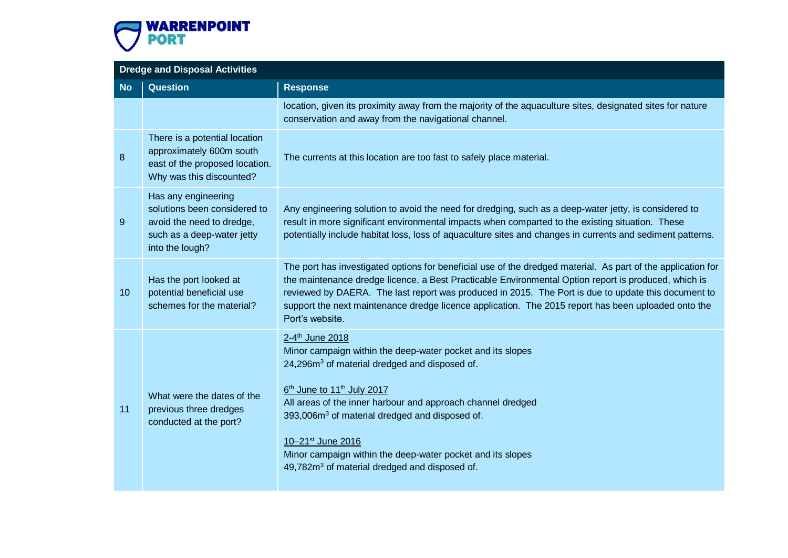

# **Dredge and Disposal Activities No Question Response** location, given its proximity away from the majority of the aquaculture sites, designated sites for nature conservation and away from the navigational channel. 8 There is a potential location approximately 600m south east of the proposed location. Why was this discounted? The currents at this location are too fast to safely place material. 9 Has any engineering solutions been considered to avoid the need to dredge, such as a deep-water jetty into the lough? Any engineering solution to avoid the need for dredging, such as a deep-water jetty, is considered to result in more significant environmental impacts when comparted to the existing situation. These potentially include habitat loss, loss of aquaculture sites and changes in currents and sediment patterns. 10 Has the port looked at potential beneficial use schemes for the material? The port has investigated options for beneficial use of the dredged material. As part of the application for the maintenance dredge licence, a Best Practicable Environmental Option report is produced, which is reviewed by DAERA. The last report was produced in 2015. The Port is due to update this document to support the next maintenance dredge licence application. The 2015 report has been uploaded onto the Port's website. 11 What were the dates of the previous three dredges conducted at the port? 2-4<sup>th</sup> June 2018 Minor campaign within the deep-water pocket and its slopes 24,296m<sup>3</sup> of material dredged and disposed of. 6<sup>th</sup> June to 11<sup>th</sup> July 2017 All areas of the inner harbour and approach channel dredged 393,006m<sup>3</sup> of material dredged and disposed of. 10–21st June 2016 Minor campaign within the deep-water pocket and its slopes 49,782m<sup>3</sup> of material dredged and disposed of.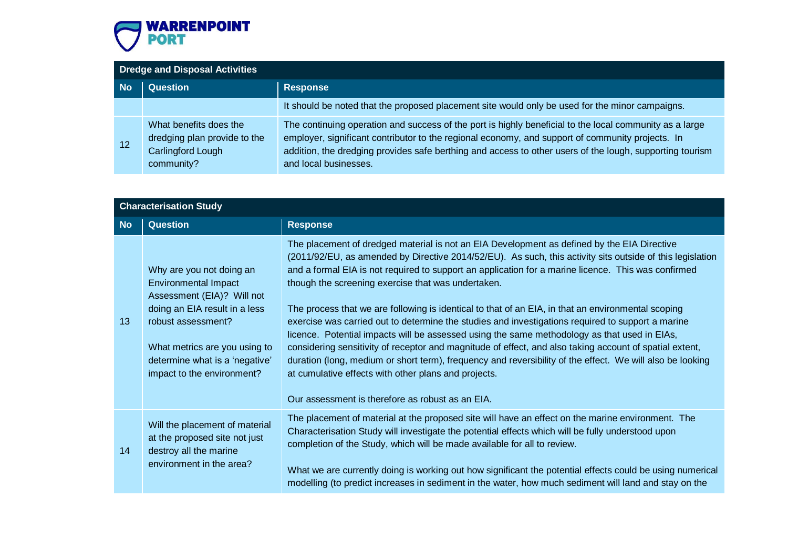

## **Dredge and Disposal Activities No Question Response** It should be noted that the proposed placement site would only be used for the minor campaigns. 12 What benefits does the dredging plan provide to the Carlingford Lough community? The continuing operation and success of the port is highly beneficial to the local community as a large employer, significant contributor to the regional economy, and support of community projects. In addition, the dredging provides safe berthing and access to other users of the lough, supporting tourism and local businesses.

|           | <b>Characterisation Study</b>                                                                                                                                                                                                                 |                                                                                                                                                                                                                                                                                                                                                                                                                                                                                                                                                                                                                                                                                                                                                                                                                                                                                                                                                                                                                      |
|-----------|-----------------------------------------------------------------------------------------------------------------------------------------------------------------------------------------------------------------------------------------------|----------------------------------------------------------------------------------------------------------------------------------------------------------------------------------------------------------------------------------------------------------------------------------------------------------------------------------------------------------------------------------------------------------------------------------------------------------------------------------------------------------------------------------------------------------------------------------------------------------------------------------------------------------------------------------------------------------------------------------------------------------------------------------------------------------------------------------------------------------------------------------------------------------------------------------------------------------------------------------------------------------------------|
| <b>No</b> | <b>Question</b>                                                                                                                                                                                                                               | <b>Response</b>                                                                                                                                                                                                                                                                                                                                                                                                                                                                                                                                                                                                                                                                                                                                                                                                                                                                                                                                                                                                      |
| 13        | Why are you not doing an<br><b>Environmental Impact</b><br>Assessment (EIA)? Will not<br>doing an EIA result in a less<br>robust assessment?<br>What metrics are you using to<br>determine what is a 'negative'<br>impact to the environment? | The placement of dredged material is not an EIA Development as defined by the EIA Directive<br>(2011/92/EU, as amended by Directive 2014/52/EU). As such, this activity sits outside of this legislation<br>and a formal EIA is not required to support an application for a marine licence. This was confirmed<br>though the screening exercise that was undertaken.<br>The process that we are following is identical to that of an EIA, in that an environmental scoping<br>exercise was carried out to determine the studies and investigations required to support a marine<br>licence. Potential impacts will be assessed using the same methodology as that used in EIAs,<br>considering sensitivity of receptor and magnitude of effect, and also taking account of spatial extent,<br>duration (long, medium or short term), frequency and reversibility of the effect. We will also be looking<br>at cumulative effects with other plans and projects.<br>Our assessment is therefore as robust as an EIA. |
| 14        | Will the placement of material<br>at the proposed site not just<br>destroy all the marine<br>environment in the area?                                                                                                                         | The placement of material at the proposed site will have an effect on the marine environment. The<br>Characterisation Study will investigate the potential effects which will be fully understood upon<br>completion of the Study, which will be made available for all to review.<br>What we are currently doing is working out how significant the potential effects could be using numerical<br>modelling (to predict increases in sediment in the water, how much sediment will land and stay on the                                                                                                                                                                                                                                                                                                                                                                                                                                                                                                             |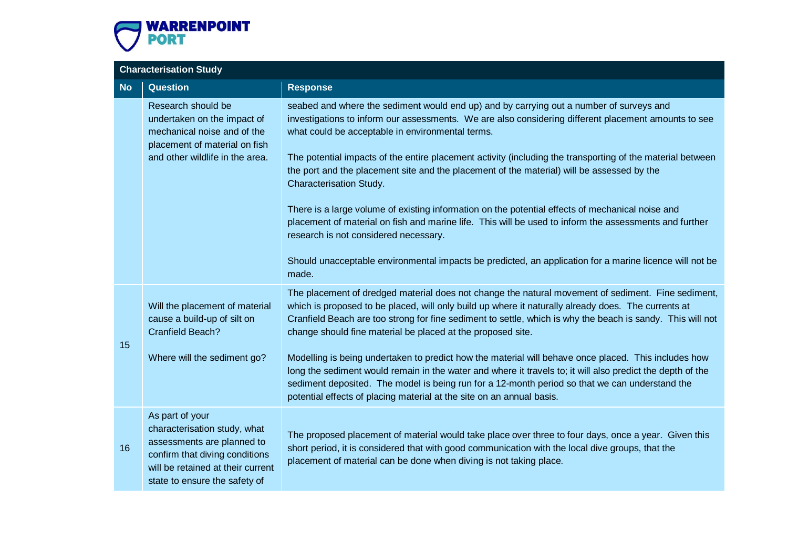

# **Characterisation Study No Question Response** Research should be undertaken on the impact of mechanical noise and of the placement of material on fish and other wildlife in the area. seabed and where the sediment would end up) and by carrying out a number of surveys and investigations to inform our assessments. We are also considering different placement amounts to see what could be acceptable in environmental terms. The potential impacts of the entire placement activity (including the transporting of the material between the port and the placement site and the placement of the material) will be assessed by the Characterisation Study. There is a large volume of existing information on the potential effects of mechanical noise and placement of material on fish and marine life. This will be used to inform the assessments and further research is not considered necessary. Should unacceptable environmental impacts be predicted, an application for a marine licence will not be made. 15 Will the placement of material cause a build-up of silt on Cranfield Beach? Where will the sediment go? The placement of dredged material does not change the natural movement of sediment. Fine sediment, which is proposed to be placed, will only build up where it naturally already does. The currents at Cranfield Beach are too strong for fine sediment to settle, which is why the beach is sandy. This will not change should fine material be placed at the proposed site. Modelling is being undertaken to predict how the material will behave once placed. This includes how long the sediment would remain in the water and where it travels to; it will also predict the depth of the sediment deposited. The model is being run for a 12-month period so that we can understand the potential effects of placing material at the site on an annual basis. 16 As part of your characterisation study, what assessments are planned to confirm that diving conditions will be retained at their current state to ensure the safety of The proposed placement of material would take place over three to four days, once a year. Given this short period, it is considered that with good communication with the local dive groups, that the placement of material can be done when diving is not taking place.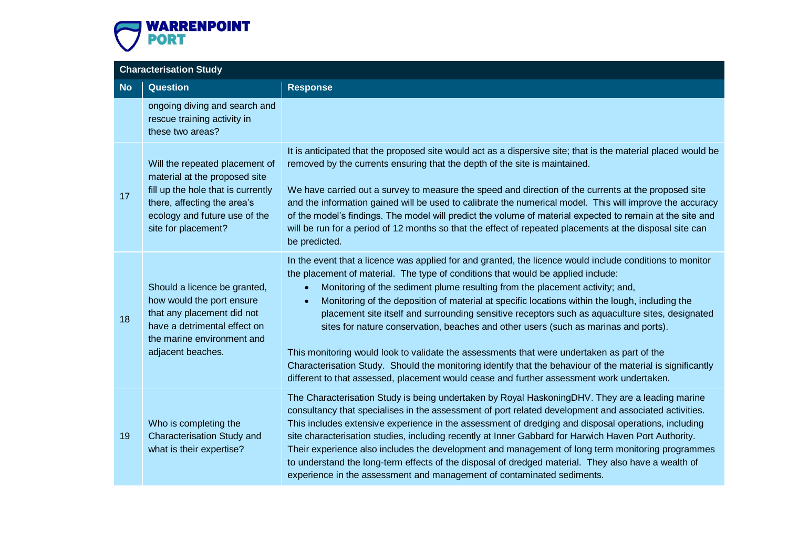

| <b>Characterisation Study</b> |                                                                                                                                                                                              |                                                                                                                                                                                                                                                                                                                                                                                                                                                                                                                                                                                                                                                                                                                                                                                                                                                                                                             |
|-------------------------------|----------------------------------------------------------------------------------------------------------------------------------------------------------------------------------------------|-------------------------------------------------------------------------------------------------------------------------------------------------------------------------------------------------------------------------------------------------------------------------------------------------------------------------------------------------------------------------------------------------------------------------------------------------------------------------------------------------------------------------------------------------------------------------------------------------------------------------------------------------------------------------------------------------------------------------------------------------------------------------------------------------------------------------------------------------------------------------------------------------------------|
| <b>No</b>                     | <b>Question</b>                                                                                                                                                                              | <b>Response</b>                                                                                                                                                                                                                                                                                                                                                                                                                                                                                                                                                                                                                                                                                                                                                                                                                                                                                             |
|                               | ongoing diving and search and<br>rescue training activity in<br>these two areas?                                                                                                             |                                                                                                                                                                                                                                                                                                                                                                                                                                                                                                                                                                                                                                                                                                                                                                                                                                                                                                             |
| 17                            | Will the repeated placement of<br>material at the proposed site<br>fill up the hole that is currently<br>there, affecting the area's<br>ecology and future use of the<br>site for placement? | It is anticipated that the proposed site would act as a dispersive site; that is the material placed would be<br>removed by the currents ensuring that the depth of the site is maintained.<br>We have carried out a survey to measure the speed and direction of the currents at the proposed site<br>and the information gained will be used to calibrate the numerical model. This will improve the accuracy<br>of the model's findings. The model will predict the volume of material expected to remain at the site and<br>will be run for a period of 12 months so that the effect of repeated placements at the disposal site can<br>be predicted.                                                                                                                                                                                                                                                   |
| 18                            | Should a licence be granted,<br>how would the port ensure<br>that any placement did not<br>have a detrimental effect on<br>the marine environment and<br>adjacent beaches.                   | In the event that a licence was applied for and granted, the licence would include conditions to monitor<br>the placement of material. The type of conditions that would be applied include:<br>Monitoring of the sediment plume resulting from the placement activity; and,<br>$\bullet$<br>Monitoring of the deposition of material at specific locations within the lough, including the<br>$\bullet$<br>placement site itself and surrounding sensitive receptors such as aquaculture sites, designated<br>sites for nature conservation, beaches and other users (such as marinas and ports).<br>This monitoring would look to validate the assessments that were undertaken as part of the<br>Characterisation Study. Should the monitoring identify that the behaviour of the material is significantly<br>different to that assessed, placement would cease and further assessment work undertaken. |
| 19                            | Who is completing the<br><b>Characterisation Study and</b><br>what is their expertise?                                                                                                       | The Characterisation Study is being undertaken by Royal HaskoningDHV. They are a leading marine<br>consultancy that specialises in the assessment of port related development and associated activities.<br>This includes extensive experience in the assessment of dredging and disposal operations, including<br>site characterisation studies, including recently at Inner Gabbard for Harwich Haven Port Authority.<br>Their experience also includes the development and management of long term monitoring programmes<br>to understand the long-term effects of the disposal of dredged material. They also have a wealth of<br>experience in the assessment and management of contaminated sediments.                                                                                                                                                                                                |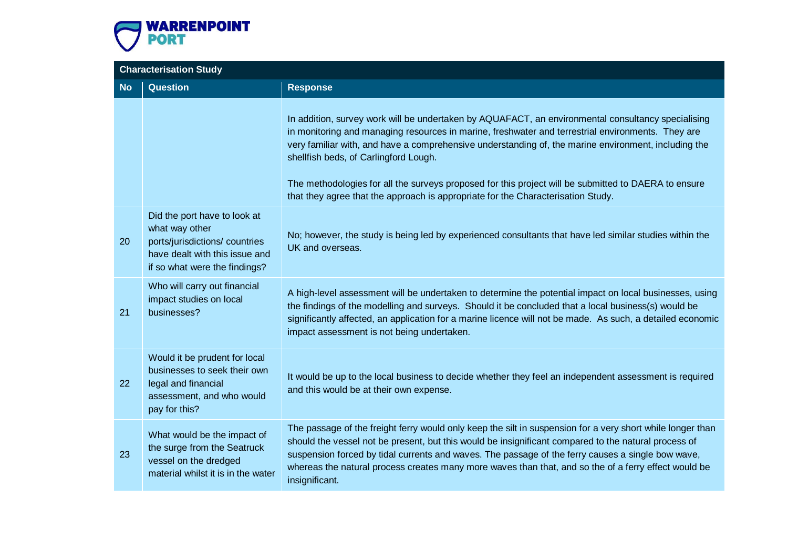

| <b>Characterisation Study</b> |                                                                                                                                                    |                                                                                                                                                                                                                                                                                                                                                                                                                                                                                                                                                      |
|-------------------------------|----------------------------------------------------------------------------------------------------------------------------------------------------|------------------------------------------------------------------------------------------------------------------------------------------------------------------------------------------------------------------------------------------------------------------------------------------------------------------------------------------------------------------------------------------------------------------------------------------------------------------------------------------------------------------------------------------------------|
| <b>No</b>                     | <b>Question</b>                                                                                                                                    | <b>Response</b>                                                                                                                                                                                                                                                                                                                                                                                                                                                                                                                                      |
|                               |                                                                                                                                                    | In addition, survey work will be undertaken by AQUAFACT, an environmental consultancy specialising<br>in monitoring and managing resources in marine, freshwater and terrestrial environments. They are<br>very familiar with, and have a comprehensive understanding of, the marine environment, including the<br>shellfish beds, of Carlingford Lough.<br>The methodologies for all the surveys proposed for this project will be submitted to DAERA to ensure<br>that they agree that the approach is appropriate for the Characterisation Study. |
| 20                            | Did the port have to look at<br>what way other<br>ports/jurisdictions/countries<br>have dealt with this issue and<br>if so what were the findings? | No; however, the study is being led by experienced consultants that have led similar studies within the<br>UK and overseas.                                                                                                                                                                                                                                                                                                                                                                                                                          |
| 21                            | Who will carry out financial<br>impact studies on local<br>businesses?                                                                             | A high-level assessment will be undertaken to determine the potential impact on local businesses, using<br>the findings of the modelling and surveys. Should it be concluded that a local business(s) would be<br>significantly affected, an application for a marine licence will not be made. As such, a detailed economic<br>impact assessment is not being undertaken.                                                                                                                                                                           |
| 22                            | Would it be prudent for local<br>businesses to seek their own<br>legal and financial<br>assessment, and who would<br>pay for this?                 | It would be up to the local business to decide whether they feel an independent assessment is required<br>and this would be at their own expense.                                                                                                                                                                                                                                                                                                                                                                                                    |
| 23                            | What would be the impact of<br>the surge from the Seatruck<br>vessel on the dredged<br>material whilst it is in the water                          | The passage of the freight ferry would only keep the silt in suspension for a very short while longer than<br>should the vessel not be present, but this would be insignificant compared to the natural process of<br>suspension forced by tidal currents and waves. The passage of the ferry causes a single bow wave,<br>whereas the natural process creates many more waves than that, and so the of a ferry effect would be<br>insignificant.                                                                                                    |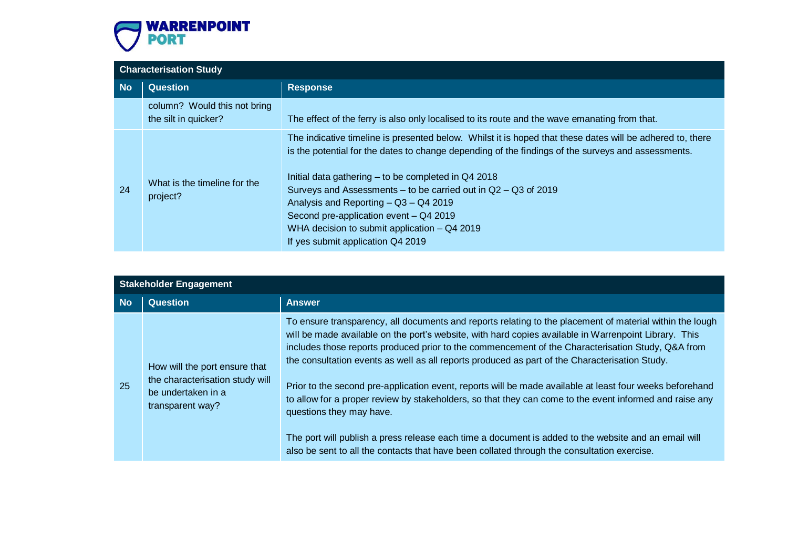![](_page_8_Picture_0.jpeg)

|           | <b>Characterisation Study</b>                        |                                                                                                                                                                                                                                                                                                                                                                                                                                                                                                                    |  |
|-----------|------------------------------------------------------|--------------------------------------------------------------------------------------------------------------------------------------------------------------------------------------------------------------------------------------------------------------------------------------------------------------------------------------------------------------------------------------------------------------------------------------------------------------------------------------------------------------------|--|
| <b>No</b> | <b>Question</b>                                      | <b>Response</b>                                                                                                                                                                                                                                                                                                                                                                                                                                                                                                    |  |
|           | column? Would this not bring<br>the silt in quicker? | The effect of the ferry is also only localised to its route and the wave emanating from that.                                                                                                                                                                                                                                                                                                                                                                                                                      |  |
| 24        | What is the timeline for the<br>project?             | The indicative timeline is presented below. Whilst it is hoped that these dates will be adhered to, there<br>is the potential for the dates to change depending of the findings of the surveys and assessments.<br>Initial data gathering - to be completed in Q4 2018<br>Surveys and Assessments - to be carried out in Q2 - Q3 of 2019<br>Analysis and Reporting - Q3 - Q4 2019<br>Second pre-application event - Q4 2019<br>WHA decision to submit application $-$ Q4 2019<br>If yes submit application Q4 2019 |  |

| <b>Stakeholder Engagement</b> |                                                                                                            |                                                                                                                                                                                                                                                                                                                                                                                                                                                                                                                                                                                                                                                                                                                                                                                                                                                                                    |
|-------------------------------|------------------------------------------------------------------------------------------------------------|------------------------------------------------------------------------------------------------------------------------------------------------------------------------------------------------------------------------------------------------------------------------------------------------------------------------------------------------------------------------------------------------------------------------------------------------------------------------------------------------------------------------------------------------------------------------------------------------------------------------------------------------------------------------------------------------------------------------------------------------------------------------------------------------------------------------------------------------------------------------------------|
| <b>No</b>                     | <b>Question</b>                                                                                            | <b>Answer</b>                                                                                                                                                                                                                                                                                                                                                                                                                                                                                                                                                                                                                                                                                                                                                                                                                                                                      |
| 25                            | How will the port ensure that<br>the characterisation study will<br>be undertaken in a<br>transparent way? | To ensure transparency, all documents and reports relating to the placement of material within the lough<br>will be made available on the port's website, with hard copies available in Warrenpoint Library. This<br>includes those reports produced prior to the commencement of the Characterisation Study, Q&A from<br>the consultation events as well as all reports produced as part of the Characterisation Study.<br>Prior to the second pre-application event, reports will be made available at least four weeks beforehand<br>to allow for a proper review by stakeholders, so that they can come to the event informed and raise any<br>questions they may have.<br>The port will publish a press release each time a document is added to the website and an email will<br>also be sent to all the contacts that have been collated through the consultation exercise. |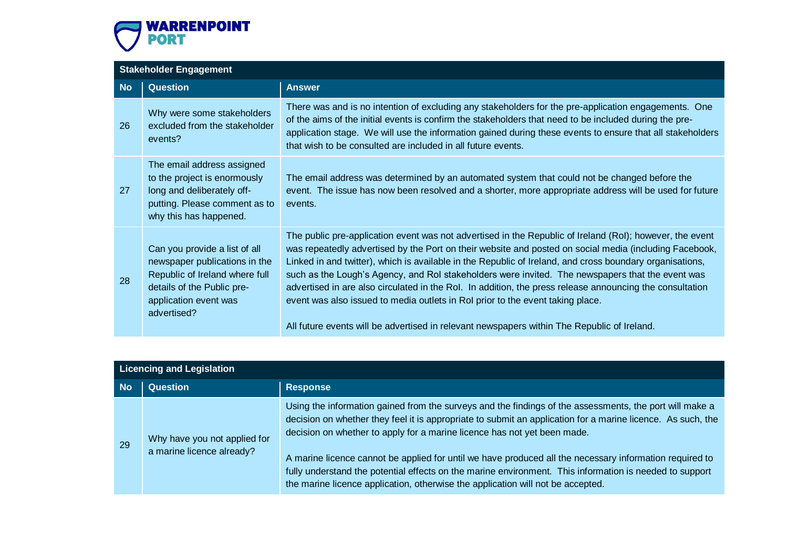![](_page_9_Picture_0.jpeg)

### **Stakeholder Engagement No Question Answer** 26 Why were some stakeholders excluded from the stakeholder events? There was and is no intention of excluding any stakeholders for the pre-application engagements. One of the aims of the initial events is confirm the stakeholders that need to be included during the preapplication stage. We will use the information gained during these events to ensure that all stakeholders that wish to be consulted are included in all future events. 27 The email address assigned to the project is enormously long and deliberately offputting. Please comment as to why this has happened. The email address was determined by an automated system that could not be changed before the event. The issue has now been resolved and a shorter, more appropriate address will be used for future events. 28 Can you provide a list of all newspaper publications in the Republic of Ireland where full details of the Public preapplication event was advertised? The public pre-application event was not advertised in the Republic of Ireland (RoI); however, the event was repeatedly advertised by the Port on their website and posted on social media (including Facebook, Linked in and twitter), which is available in the Republic of Ireland, and cross boundary organisations, such as the Lough's Agency, and RoI stakeholders were invited. The newspapers that the event was advertised in are also circulated in the RoI. In addition, the press release announcing the consultation event was also issued to media outlets in RoI prior to the event taking place. All future events will be advertised in relevant newspapers within The Republic of Ireland.

| Licencing and Legislation |                                                           |                                                                                                                                                                                                                                                                                                                                                                                                                                                                                                                                                                                                             |
|---------------------------|-----------------------------------------------------------|-------------------------------------------------------------------------------------------------------------------------------------------------------------------------------------------------------------------------------------------------------------------------------------------------------------------------------------------------------------------------------------------------------------------------------------------------------------------------------------------------------------------------------------------------------------------------------------------------------------|
| <b>No</b>                 | <b>Question</b>                                           | <b>Response</b>                                                                                                                                                                                                                                                                                                                                                                                                                                                                                                                                                                                             |
| 29                        | Why have you not applied for<br>a marine licence already? | Using the information gained from the surveys and the findings of the assessments, the port will make a<br>decision on whether they feel it is appropriate to submit an application for a marine licence. As such, the<br>decision on whether to apply for a marine licence has not yet been made.<br>A marine licence cannot be applied for until we have produced all the necessary information required to<br>fully understand the potential effects on the marine environment. This information is needed to support<br>the marine licence application, otherwise the application will not be accepted. |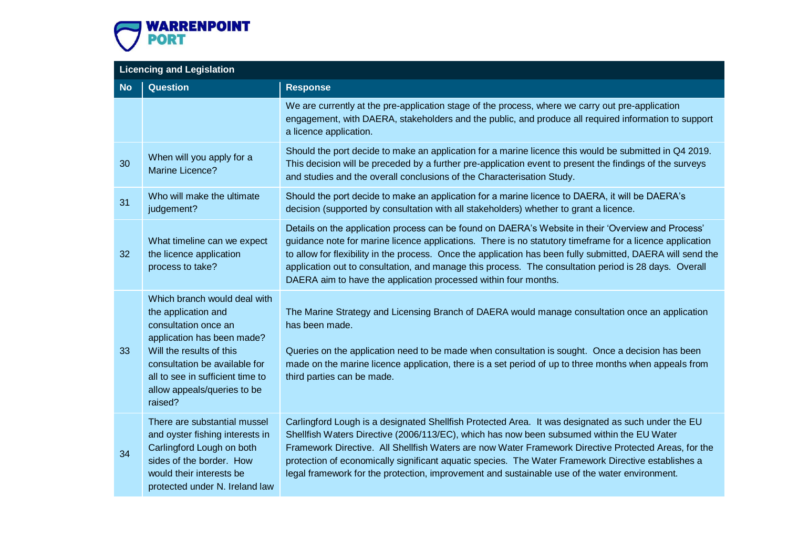![](_page_10_Picture_0.jpeg)

|           | <b>Licencing and Legislation</b>                                                                                                                                                                                                                     |                                                                                                                                                                                                                                                                                                                                                                                                                                                                                                                 |  |
|-----------|------------------------------------------------------------------------------------------------------------------------------------------------------------------------------------------------------------------------------------------------------|-----------------------------------------------------------------------------------------------------------------------------------------------------------------------------------------------------------------------------------------------------------------------------------------------------------------------------------------------------------------------------------------------------------------------------------------------------------------------------------------------------------------|--|
| <b>No</b> | <b>Question</b>                                                                                                                                                                                                                                      | <b>Response</b>                                                                                                                                                                                                                                                                                                                                                                                                                                                                                                 |  |
|           |                                                                                                                                                                                                                                                      | We are currently at the pre-application stage of the process, where we carry out pre-application<br>engagement, with DAERA, stakeholders and the public, and produce all required information to support<br>a licence application.                                                                                                                                                                                                                                                                              |  |
| 30        | When will you apply for a<br>Marine Licence?                                                                                                                                                                                                         | Should the port decide to make an application for a marine licence this would be submitted in Q4 2019.<br>This decision will be preceded by a further pre-application event to present the findings of the surveys<br>and studies and the overall conclusions of the Characterisation Study.                                                                                                                                                                                                                    |  |
| 31        | Who will make the ultimate<br>judgement?                                                                                                                                                                                                             | Should the port decide to make an application for a marine licence to DAERA, it will be DAERA's<br>decision (supported by consultation with all stakeholders) whether to grant a licence.                                                                                                                                                                                                                                                                                                                       |  |
| 32        | What timeline can we expect<br>the licence application<br>process to take?                                                                                                                                                                           | Details on the application process can be found on DAERA's Website in their 'Overview and Process'<br>guidance note for marine licence applications. There is no statutory timeframe for a licence application<br>to allow for flexibility in the process. Once the application has been fully submitted, DAERA will send the<br>application out to consultation, and manage this process. The consultation period is 28 days. Overall<br>DAERA aim to have the application processed within four months.       |  |
| 33        | Which branch would deal with<br>the application and<br>consultation once an<br>application has been made?<br>Will the results of this<br>consultation be available for<br>all to see in sufficient time to<br>allow appeals/queries to be<br>raised? | The Marine Strategy and Licensing Branch of DAERA would manage consultation once an application<br>has been made.<br>Queries on the application need to be made when consultation is sought. Once a decision has been<br>made on the marine licence application, there is a set period of up to three months when appeals from<br>third parties can be made.                                                                                                                                                    |  |
| 34        | There are substantial mussel<br>and oyster fishing interests in<br>Carlingford Lough on both<br>sides of the border. How<br>would their interests be<br>protected under N. Ireland law                                                               | Carlingford Lough is a designated Shellfish Protected Area. It was designated as such under the EU<br>Shellfish Waters Directive (2006/113/EC), which has now been subsumed within the EU Water<br>Framework Directive. All Shellfish Waters are now Water Framework Directive Protected Areas, for the<br>protection of economically significant aquatic species. The Water Framework Directive establishes a<br>legal framework for the protection, improvement and sustainable use of the water environment. |  |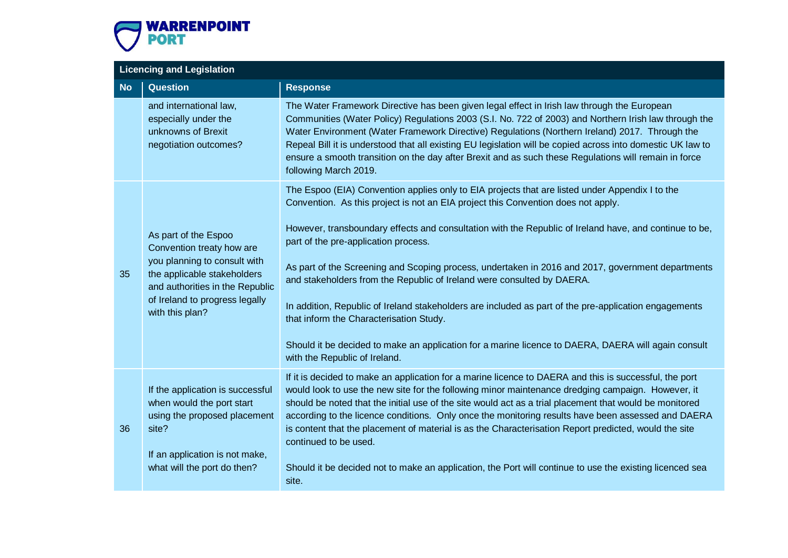![](_page_11_Picture_0.jpeg)

|           | <b>Licencing and Legislation</b>                                                                                                                                                                         |                                                                                                                                                                                                                                                                                                                                                                                                                                                                                                                                                                                                                                                                                                                                                                                                                   |  |
|-----------|----------------------------------------------------------------------------------------------------------------------------------------------------------------------------------------------------------|-------------------------------------------------------------------------------------------------------------------------------------------------------------------------------------------------------------------------------------------------------------------------------------------------------------------------------------------------------------------------------------------------------------------------------------------------------------------------------------------------------------------------------------------------------------------------------------------------------------------------------------------------------------------------------------------------------------------------------------------------------------------------------------------------------------------|--|
| <b>No</b> | <b>Question</b>                                                                                                                                                                                          | <b>Response</b>                                                                                                                                                                                                                                                                                                                                                                                                                                                                                                                                                                                                                                                                                                                                                                                                   |  |
|           | and international law,<br>especially under the<br>unknowns of Brexit<br>negotiation outcomes?                                                                                                            | The Water Framework Directive has been given legal effect in Irish law through the European<br>Communities (Water Policy) Regulations 2003 (S.I. No. 722 of 2003) and Northern Irish law through the<br>Water Environment (Water Framework Directive) Regulations (Northern Ireland) 2017. Through the<br>Repeal Bill it is understood that all existing EU legislation will be copied across into domestic UK law to<br>ensure a smooth transition on the day after Brexit and as such these Regulations will remain in force<br>following March 2019.                                                                                                                                                                                                                                                           |  |
| 35        | As part of the Espoo<br>Convention treaty how are<br>you planning to consult with<br>the applicable stakeholders<br>and authorities in the Republic<br>of Ireland to progress legally<br>with this plan? | The Espoo (EIA) Convention applies only to EIA projects that are listed under Appendix I to the<br>Convention. As this project is not an EIA project this Convention does not apply.<br>However, transboundary effects and consultation with the Republic of Ireland have, and continue to be,<br>part of the pre-application process.<br>As part of the Screening and Scoping process, undertaken in 2016 and 2017, government departments<br>and stakeholders from the Republic of Ireland were consulted by DAERA.<br>In addition, Republic of Ireland stakeholders are included as part of the pre-application engagements<br>that inform the Characterisation Study.<br>Should it be decided to make an application for a marine licence to DAERA, DAERA will again consult<br>with the Republic of Ireland. |  |
| 36        | If the application is successful<br>when would the port start<br>using the proposed placement<br>site?<br>If an application is not make,<br>what will the port do then?                                  | If it is decided to make an application for a marine licence to DAERA and this is successful, the port<br>would look to use the new site for the following minor maintenance dredging campaign. However, it<br>should be noted that the initial use of the site would act as a trial placement that would be monitored<br>according to the licence conditions. Only once the monitoring results have been assessed and DAERA<br>is content that the placement of material is as the Characterisation Report predicted, would the site<br>continued to be used.<br>Should it be decided not to make an application, the Port will continue to use the existing licenced sea<br>site.                                                                                                                               |  |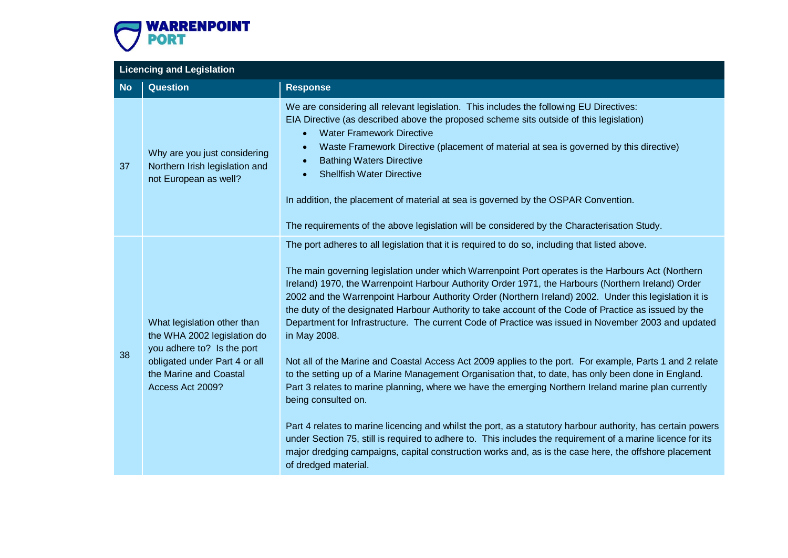![](_page_12_Picture_0.jpeg)

|           | <b>Licencing and Legislation</b>                                                                                                                                        |                                                                                                                                                                                                                                                                                                                                                                                                                                                                                                                                                                                                                                                                                                                                                                                                                                                                                                                                                                                                                                                                                                                                                                                                                                                                                                                                                                        |  |
|-----------|-------------------------------------------------------------------------------------------------------------------------------------------------------------------------|------------------------------------------------------------------------------------------------------------------------------------------------------------------------------------------------------------------------------------------------------------------------------------------------------------------------------------------------------------------------------------------------------------------------------------------------------------------------------------------------------------------------------------------------------------------------------------------------------------------------------------------------------------------------------------------------------------------------------------------------------------------------------------------------------------------------------------------------------------------------------------------------------------------------------------------------------------------------------------------------------------------------------------------------------------------------------------------------------------------------------------------------------------------------------------------------------------------------------------------------------------------------------------------------------------------------------------------------------------------------|--|
| <b>No</b> | <b>Question</b>                                                                                                                                                         | <b>Response</b>                                                                                                                                                                                                                                                                                                                                                                                                                                                                                                                                                                                                                                                                                                                                                                                                                                                                                                                                                                                                                                                                                                                                                                                                                                                                                                                                                        |  |
| 37        | Why are you just considering<br>Northern Irish legislation and<br>not European as well?                                                                                 | We are considering all relevant legislation. This includes the following EU Directives:<br>EIA Directive (as described above the proposed scheme sits outside of this legislation)<br><b>Water Framework Directive</b><br>$\bullet$<br>Waste Framework Directive (placement of material at sea is governed by this directive)<br>$\bullet$<br><b>Bathing Waters Directive</b><br>$\bullet$<br><b>Shellfish Water Directive</b><br>$\bullet$<br>In addition, the placement of material at sea is governed by the OSPAR Convention.<br>The requirements of the above legislation will be considered by the Characterisation Study.                                                                                                                                                                                                                                                                                                                                                                                                                                                                                                                                                                                                                                                                                                                                       |  |
| 38        | What legislation other than<br>the WHA 2002 legislation do<br>you adhere to? Is the port<br>obligated under Part 4 or all<br>the Marine and Coastal<br>Access Act 2009? | The port adheres to all legislation that it is required to do so, including that listed above.<br>The main governing legislation under which Warrenpoint Port operates is the Harbours Act (Northern<br>Ireland) 1970, the Warrenpoint Harbour Authority Order 1971, the Harbours (Northern Ireland) Order<br>2002 and the Warrenpoint Harbour Authority Order (Northern Ireland) 2002. Under this legislation it is<br>the duty of the designated Harbour Authority to take account of the Code of Practice as issued by the<br>Department for Infrastructure. The current Code of Practice was issued in November 2003 and updated<br>in May 2008.<br>Not all of the Marine and Coastal Access Act 2009 applies to the port. For example, Parts 1 and 2 relate<br>to the setting up of a Marine Management Organisation that, to date, has only been done in England.<br>Part 3 relates to marine planning, where we have the emerging Northern Ireland marine plan currently<br>being consulted on.<br>Part 4 relates to marine licencing and whilst the port, as a statutory harbour authority, has certain powers<br>under Section 75, still is required to adhere to. This includes the requirement of a marine licence for its<br>major dredging campaigns, capital construction works and, as is the case here, the offshore placement<br>of dredged material. |  |